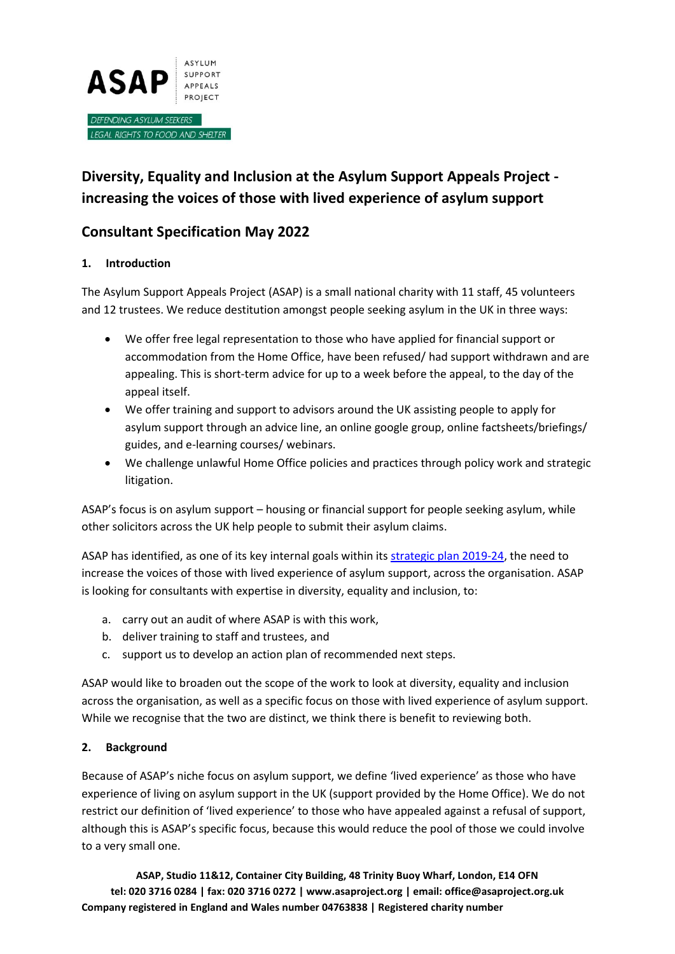

# **Diversity, Equality and Inclusion at the Asylum Support Appeals Project increasing the voices of those with lived experience of asylum support**

# **Consultant Specification May 2022**

# **1. Introduction**

The Asylum Support Appeals Project (ASAP) is a small national charity with 11 staff, 45 volunteers and 12 trustees. We reduce destitution amongst people seeking asylum in the UK in three ways:

- We offer free legal representation to those who have applied for financial support or accommodation from the Home Office, have been refused/ had support withdrawn and are appealing. This is short-term advice for up to a week before the appeal, to the day of the appeal itself.
- We offer training and support to advisors around the UK assisting people to apply for asylum support through an advice line, an online google group, online factsheets/briefings/ guides, and e-learning courses/ webinars.
- We challenge unlawful Home Office policies and practices through policy work and strategic litigation.

ASAP's focus is on asylum support – housing or financial support for people seeking asylum, while other solicitors across the UK help people to submit their asylum claims.

ASAP has identified, as one of its key internal goals within it[s strategic plan 2019-24,](https://www.asaproject.org/uploads/ASAP_strategic_plan_2019-24_A4.pdf) the need to increase the voices of those with lived experience of asylum support, across the organisation. ASAP is looking for consultants with expertise in diversity, equality and inclusion, to:

- a. carry out an audit of where ASAP is with this work,
- b. deliver training to staff and trustees, and
- c. support us to develop an action plan of recommended next steps.

ASAP would like to broaden out the scope of the work to look at diversity, equality and inclusion across the organisation, as well as a specific focus on those with lived experience of asylum support. While we recognise that the two are distinct, we think there is benefit to reviewing both.

# **2. Background**

Because of ASAP's niche focus on asylum support, we define 'lived experience' as those who have experience of living on asylum support in the UK (support provided by the Home Office). We do not restrict our definition of 'lived experience' to those who have appealed against a refusal of support, although this is ASAP's specific focus, because this would reduce the pool of those we could involve to a very small one.

**ASAP, Studio 11&12, Container City Building, 48 Trinity Buoy Wharf, London, E14 OFN tel: 020 3716 0284 | fax: 020 3716 0272 | www.asaproject.org | email: office@asaproject.org.uk Company registered in England and Wales number 04763838 | Registered charity number**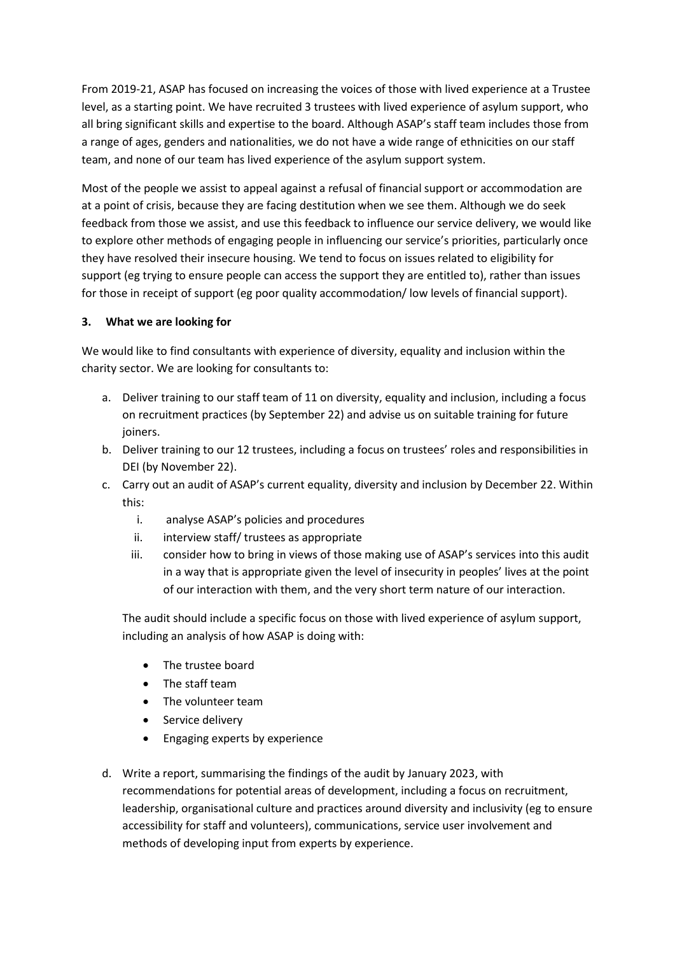From 2019-21, ASAP has focused on increasing the voices of those with lived experience at a Trustee level, as a starting point. We have recruited 3 trustees with lived experience of asylum support, who all bring significant skills and expertise to the board. Although ASAP's staff team includes those from a range of ages, genders and nationalities, we do not have a wide range of ethnicities on our staff team, and none of our team has lived experience of the asylum support system.

Most of the people we assist to appeal against a refusal of financial support or accommodation are at a point of crisis, because they are facing destitution when we see them. Although we do seek feedback from those we assist, and use this feedback to influence our service delivery, we would like to explore other methods of engaging people in influencing our service's priorities, particularly once they have resolved their insecure housing. We tend to focus on issues related to eligibility for support (eg trying to ensure people can access the support they are entitled to), rather than issues for those in receipt of support (eg poor quality accommodation/ low levels of financial support).

#### **3. What we are looking for**

We would like to find consultants with experience of diversity, equality and inclusion within the charity sector. We are looking for consultants to:

- a. Deliver training to our staff team of 11 on diversity, equality and inclusion, including a focus on recruitment practices (by September 22) and advise us on suitable training for future joiners.
- b. Deliver training to our 12 trustees, including a focus on trustees' roles and responsibilities in DEI (by November 22).
- c. Carry out an audit of ASAP's current equality, diversity and inclusion by December 22. Within this:
	- i. analyse ASAP's policies and procedures
	- ii. interview staff/ trustees as appropriate
	- iii. consider how to bring in views of those making use of ASAP's services into this audit in a way that is appropriate given the level of insecurity in peoples' lives at the point of our interaction with them, and the very short term nature of our interaction.

The audit should include a specific focus on those with lived experience of asylum support, including an analysis of how ASAP is doing with:

- The trustee board
- The staff team
- The volunteer team
- Service delivery
- Engaging experts by experience
- d. Write a report, summarising the findings of the audit by January 2023, with recommendations for potential areas of development, including a focus on recruitment, leadership, organisational culture and practices around diversity and inclusivity (eg to ensure accessibility for staff and volunteers), communications, service user involvement and methods of developing input from experts by experience.